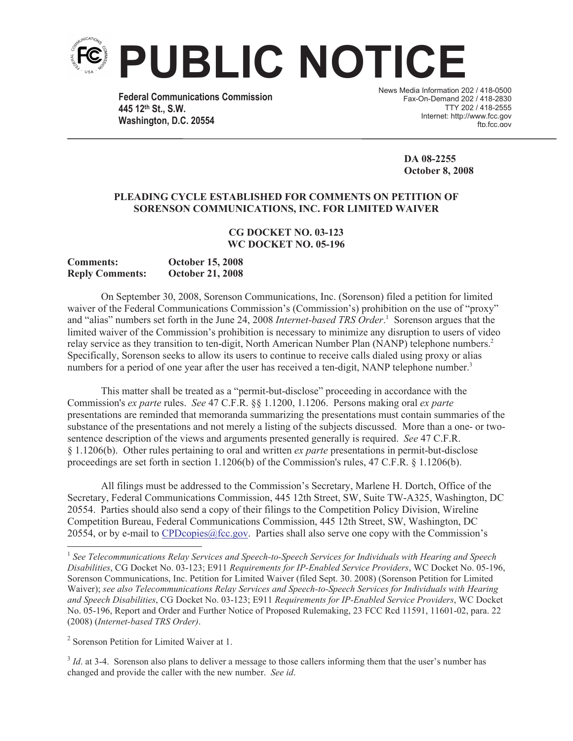

**Federal Communications Commission 445 12th St., S.W. Washington, D.C. 20554**

News Media Information 202 / 418-0500 Fax-On-Demand 202 / 418-2830 TTY 202 / 418-2555 Internet: http://www.fcc.gov ftn fcc.gov

> **DA 08-2255 October 8, 2008**

## **PLEADING CYCLE ESTABLISHED FOR COMMENTS ON PETITION OF SORENSON COMMUNICATIONS, INC. FOR LIMITED WAIVER**

## **CG DOCKET NO. 03-123 WC DOCKET NO. 05-196**

| <b>Comments:</b>       | <b>October 15, 2008</b> |
|------------------------|-------------------------|
| <b>Reply Comments:</b> | <b>October 21, 2008</b> |

On September 30, 2008, Sorenson Communications, Inc. (Sorenson) filed a petition for limited waiver of the Federal Communications Commission's (Commission's) prohibition on the use of "proxy" and "alias" numbers set forth in the June 24, 2008 *Internet-based TRS Order*. <sup>1</sup> Sorenson argues that the limited waiver of the Commission's prohibition is necessary to minimize any disruption to users of video relay service as they transition to ten-digit, North American Number Plan (NANP) telephone numbers.<sup>2</sup> Specifically, Sorenson seeks to allow its users to continue to receive calls dialed using proxy or alias numbers for a period of one year after the user has received a ten-digit, NANP telephone number.<sup>3</sup>

This matter shall be treated as a "permit-but-disclose" proceeding in accordance with the Commission's *ex parte* rules. *See* 47 C.F.R. §§ 1.1200, 1.1206. Persons making oral *ex parte* presentations are reminded that memoranda summarizing the presentations must contain summaries of the substance of the presentations and not merely a listing of the subjects discussed. More than a one- or twosentence description of the views and arguments presented generally is required. *See* 47 C.F.R. § 1.1206(b). Other rules pertaining to oral and written *ex parte* presentations in permit-but-disclose proceedings are set forth in section 1.1206(b) of the Commission's rules, 47 C.F.R. § 1.1206(b).

All filings must be addressed to the Commission's Secretary, Marlene H. Dortch, Office of the Secretary, Federal Communications Commission, 445 12th Street, SW, Suite TW-A325, Washington, DC 20554. Parties should also send a copy of their filings to the Competition Policy Division, Wireline Competition Bureau, Federal Communications Commission, 445 12th Street, SW, Washington, DC 20554, or by e-mail to CPDcopies  $@$  fcc.gov. Parties shall also serve one copy with the Commission's

<sup>3</sup> *Id*. at 3-4. Sorenson also plans to deliver a message to those callers informing them that the user's number has changed and provide the caller with the new number. *See id*.

<sup>1</sup> *See Telecommunications Relay Services and Speech-to-Speech Services for Individuals with Hearing and Speech Disabilities*, CG Docket No. 03-123; E911 *Requirements for IP-Enabled Service Providers*, WC Docket No. 05-196, Sorenson Communications, Inc. Petition for Limited Waiver (filed Sept. 30. 2008) (Sorenson Petition for Limited Waiver); *see also Telecommunications Relay Services and Speech-to-Speech Services for Individuals with Hearing and Speech Disabilities*, CG Docket No. 03-123; E911 *Requirements for IP-Enabled Service Providers*, WC Docket No. 05-196, Report and Order and Further Notice of Proposed Rulemaking, 23 FCC Rcd 11591, 11601-02, para. 22 (2008) (*Internet-based TRS Order)*.

<sup>&</sup>lt;sup>2</sup> Sorenson Petition for Limited Waiver at 1.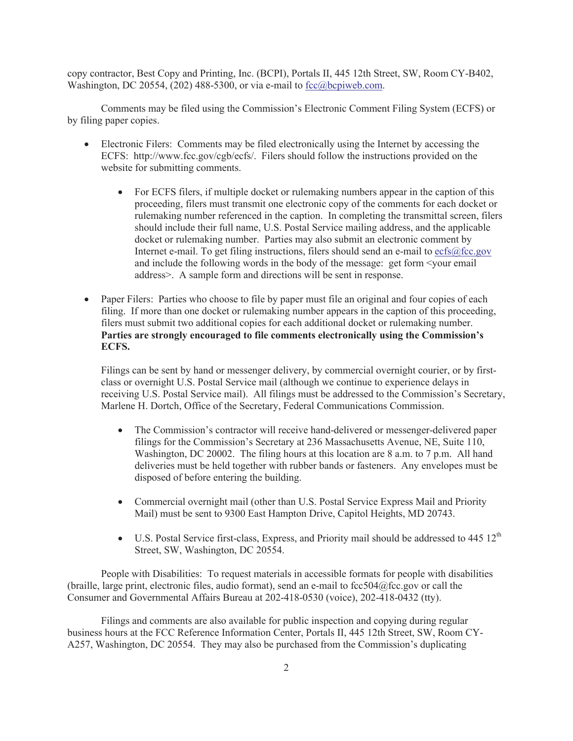copy contractor, Best Copy and Printing, Inc. (BCPI), Portals II, 445 12th Street, SW, Room CY-B402, Washington, DC 20554, (202) 488-5300, or via e-mail to  $fcc@bcpi$  web.com.

Comments may be filed using the Commission's Electronic Comment Filing System (ECFS) or by filing paper copies.

- · Electronic Filers: Comments may be filed electronically using the Internet by accessing the ECFS: http://www.fcc.gov/cgb/ecfs/. Filers should follow the instructions provided on the website for submitting comments.
	- For ECFS filers, if multiple docket or rulemaking numbers appear in the caption of this proceeding, filers must transmit one electronic copy of the comments for each docket or rulemaking number referenced in the caption. In completing the transmittal screen, filers should include their full name, U.S. Postal Service mailing address, and the applicable docket or rulemaking number. Parties may also submit an electronic comment by Internet e-mail. To get filing instructions, filers should send an e-mail to ecfs@fcc.gov and include the following words in the body of the message: get form <your email address>. A sample form and directions will be sent in response.
- Paper Filers: Parties who choose to file by paper must file an original and four copies of each filing. If more than one docket or rulemaking number appears in the caption of this proceeding, filers must submit two additional copies for each additional docket or rulemaking number. **Parties are strongly encouraged to file comments electronically using the Commission's ECFS.**

Filings can be sent by hand or messenger delivery, by commercial overnight courier, or by firstclass or overnight U.S. Postal Service mail (although we continue to experience delays in receiving U.S. Postal Service mail). All filings must be addressed to the Commission's Secretary, Marlene H. Dortch, Office of the Secretary, Federal Communications Commission.

- The Commission's contractor will receive hand-delivered or messenger-delivered paper filings for the Commission's Secretary at 236 Massachusetts Avenue, NE, Suite 110, Washington, DC 20002. The filing hours at this location are 8 a.m. to 7 p.m. All hand deliveries must be held together with rubber bands or fasteners. Any envelopes must be disposed of before entering the building.
- Commercial overnight mail (other than U.S. Postal Service Express Mail and Priority Mail) must be sent to 9300 East Hampton Drive, Capitol Heights, MD 20743.
- U.S. Postal Service first-class, Express, and Priority mail should be addressed to  $445 \times 12^{th}$ Street, SW, Washington, DC 20554.

People with Disabilities: To request materials in accessible formats for people with disabilities (braille, large print, electronic files, audio format), send an e-mail to fcc504@fcc.gov or call the Consumer and Governmental Affairs Bureau at 202-418-0530 (voice), 202-418-0432 (tty).

Filings and comments are also available for public inspection and copying during regular business hours at the FCC Reference Information Center, Portals II, 445 12th Street, SW, Room CY-A257, Washington, DC 20554. They may also be purchased from the Commission's duplicating